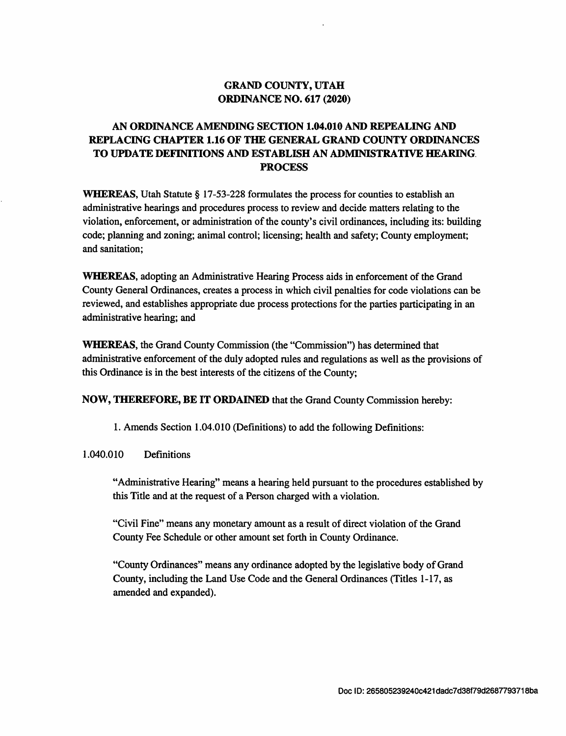#### GRAND COUNTY, UTAH ORDINANCE NO. 617 (2020)

## AN ORDINANCE AMENDING SECTION 1.04.010 AND REPEALING AND REPLACING CHAFER 1.16 OF THE GENERAL GRAND COUNTY ORDINANCES TO UPDATE DEFINITIONS AND ESTABLISH AN ADMINISTRATIVE HEARING. PROCESS

WHEREAS, Utah Statute § 17-53-228 formulates the process for counties to establish an administrative hearings and procedures process to review and decide matters relating to the violation, enforcement, or administration of the county's civil ordinances, including its: buildin code; planning and zoning; animal control; licensing; health and safety; County employment; and sanitation

WHEREAS, adopting an Administrative Hearing Process aids in enforcement of the Grand County General Ordinances, creates a process in which civil penalties for code violations can be reviewed, and establishes appropriate due process protections for the parties participating in an administrative hearing؛ and

WHEREAS, the Grand County Commission (the "Commission") has determined that administrative enforcement of the duly adopted mles and regulations as well as the provisions of this Ordinance is in the best interests of the citizens of the County؛

NOW, THEREFORE, BE IT ORDAINED that the Grand County Commission hereby:

1. Amends Section 1.04.010 (Definitions) to add the following Definitions:

#### 1.040.010 Definitions

"Administrative Hearing" means a hearing held pursuant to the procedures established by this Title and at the request of a Person charged with a violation.

"Civil Fine" means any monetary amount as a result of direct violation of the Grand County Fee Schedule or other amount set forth in County Ordinance.

"County Ordinances" means any ordinance adopted by the legislative body of Grand County, including the Land Use Code and the General Ordinances (Titles 1-17, as amended and expanded).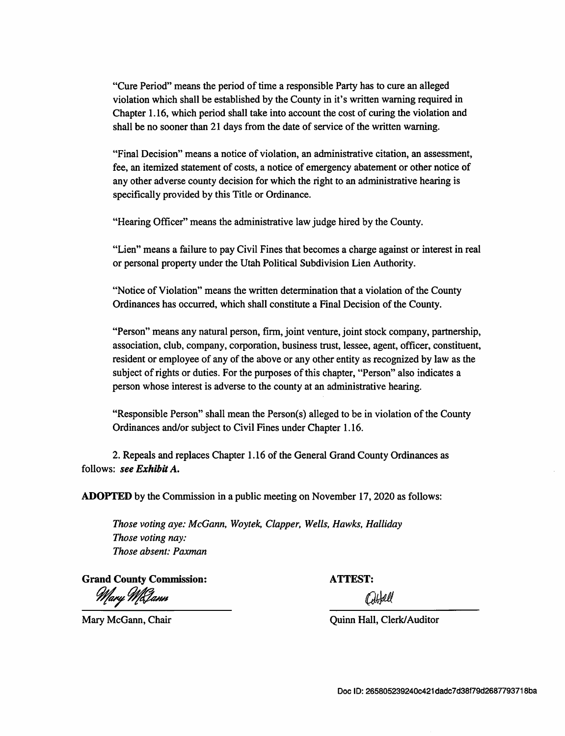"Cure Period" means the period of time a responsible Party has to cure an alleged violation which shall be established by the County in it's written warning required in Chapter 1.16, which period shall take into account the cost of curing the violation and shall be no sooner than 21 days from the date of service of the written warning.

"Final Decision" means a notice of violation, an administrative citation, an assessment, fee, an itemized statement of costs, a notice of emergency abatement or other notice of any other adverse county decision for which the right to an administrative hearing is specifically provided by this Title or Ordinance.

Hearing Officer" means the administrative law judge hired by the County.

"Lien" means a failure to pay Civil Fines that becomes a charge against or interest in real or personal property under the Utah Political Subdivision Lien Authority.

"Notice of ٧iolation" means the written determination that a violation of the County Ordinances has occurred, which shall constitute a Final Decision of the County.

"Person" means any natural person, firm, joint venture, joint stock company, partnership, association, club, company, corporation, business trust, lessee, agent, officer, constituent, resident or employee of any of the above or any other entity as recognized by law as the subject of rights or duties. For the purposes of this chapter, "Person" also indicates a person whose interest is adverse to the county at an administrative hearing.

"Responsible Person" shall mean the Person(s) alleged to be in violation of the County Ordinances and/or subject to civil Fines under Chapter 1.16.

2. Repeals and replaces Chapter 1.16 of the General Grand County Ordinances as follows: see Exhibit A.

ADOPTED by the Commission in a public meeting on November 17, 2020 as follows:

Those voting aye: McGann, Woytek, Clapper, Wells, Hawks, Halliday Those voting nay: Those absent: Paxman

Grand County Commission: ATTEST:<br>Mary McJann (b)

BHell

Mary McGann, Chair **Mary McGann**, Chair **Quinn Hall**, Clerk/Auditor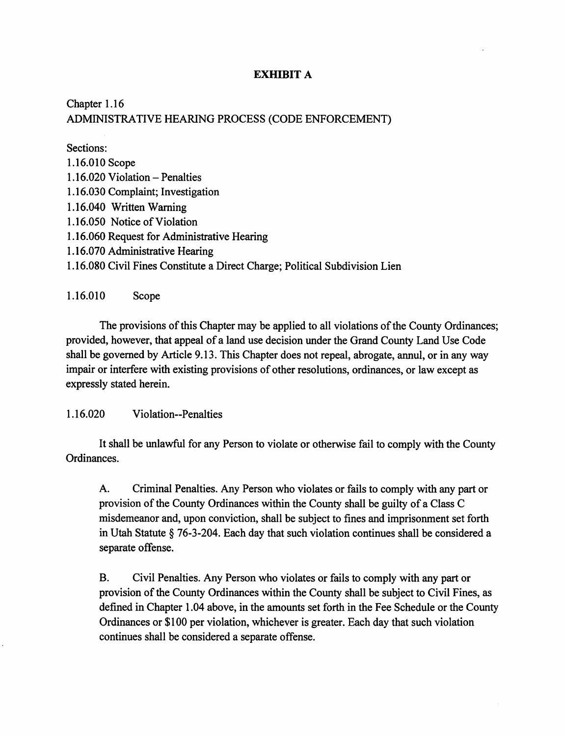#### EXHIBIT A

# Chapter 1.16 ADMINISTRATIVE HEARING PROCESS (CODE ENFORCEMENT)

Sections: 1.16.0I0Scope  $1.16.020$  Violation – Penalties 1.16.030 Complaint؛ Investigation 1.16.040 Written Warning 1.16.050 Notice of Violation 1.16.060 Request for Administrative Hearing 1.16.070 Administrative Hearing 1.16.080 Civil Fines Constitute a Direct Charge؛ Political Subdivision Lien

1.16.010 Scope

The provisions of this Chapter may be applied to all violations of the County Ordinances؛ provided, however, that appeal of a land use decision under the Grand County Land Use Code shall be governed by Article 9.13. This Chapter does not repeal, abrogate, annul, or in any way impair or interfere with existing provisions of other resolutions, ordinances, or law except as expressly stated herein.

1.16.020 Violation--Penalties

It shall be unlawful for any Person to violate or otherwise fail to comply with the County Ordinances.

Criminal Penalties. Any Person who violates or fails to comply with any part or provision of the County Ordinances within the County shall be guilty of a Class c misdemeanor and, upon conviction, shall be subject to fines and imprisonment set forth in Utah Statute § 76-3-204. Each day that such violation continues shall be considered a separate offense. A.

Civil Penalties. Any Person who violates or fails to comply with any part or provision of the County Ordinances within the County shall be subject to Civil Fines, as defined in Chapter 1.04 above, in the amounts set forth in the Fee Schedule or the County Ordinances or \$100 per violation, whichever is greater. Each day that such violation continues shall be considered a separate offense. B.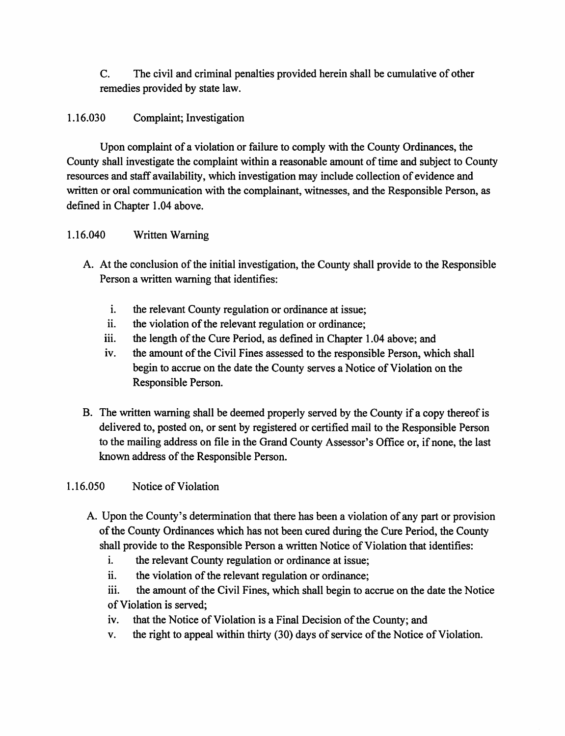C. The civil and criminal penalties provided herein shall be cumulative of other remedies provided by state law.

## 1.16.030 Complaint؛ Investigation

Upon complaint of a violation or failure to comply with the County Ordinances, the County shall investigate the complaint within a reasonable amount of time and subject to County resources and staff availability, which investigation may include collection of evidence and written or oral communication with the complainant, witnesses, and the Responsible Person, as defined in Chapter 1.04 above.

## 1.16.040 Written Warning

- A. At the conclusion of the initial investigation, the County shall provide to the Responsible Person a written warning that identifies:
	- i. the relevant County regulation or ordinance at issue;
	- ii. the violation of the relevant regulation or ordinance;
	- iii. the length of the Cure Period, as defined in Chapter 1.04 above; and
	- iv. the amount of the Civil Fines assessed to the responsible Person, which shall begin to accrue on the date the County serves a Notice of Violation on the Responsible Person.
- B. The witten warning shall be deemed properly served by the County if a copy thereof is delivered to, posted on, or sent by registered or certified mail to the Responsible Person to the mailing address on file in the Grand County Assessor's Office or, if none, the last known address of the Responsible Person.

# 1.16.050 Notice of Violation

- A. Upon the County's determination that there has been a violation of any part or provision of the County Ordinances which has not been cured during the Cure Period, the County shall provide to the Responsible Person a written Notice of Violation that identifies:
	- the relevant County regulation or ordinance at issue؛ i.
	- the violation of the relevant regulation or ordinance؛ ii.
	- iii. the amount of the Civil Fines, which shall begin to accrue on the date the Notice of Violation is served؛
	- iv. that the Notice of Violation is a Final Decision of the County؛ and
	- V. the right to appeal within thirty (30) days of service of the Notice of Violation.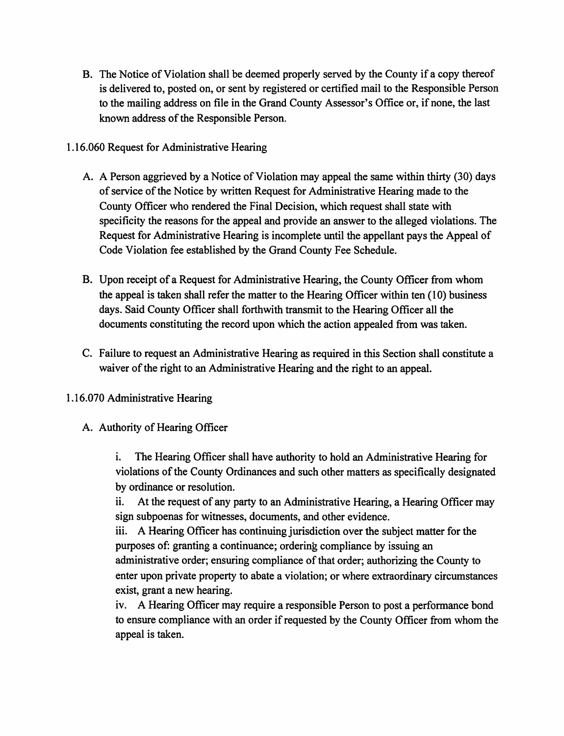- в. The Notice of Violation shall be deemed properly served by the County if a copy thereof is delivered to, posted on, or sent by registered or certified mail to the Responsible Person to the mailing address on file in the Grand County Assessor's Office or, if none, the last known address of the Responsible Person.
- 1.16.060 Request for Administrative Hearing
	- A. A Person aggrieved by a Notice of Violation may appeal the same within thirty (30) days of service of the Notice by written Request for Administrative Hearing made to the County Officer who rendered the Final Decision, which request shall state with specificity the reasons for the appeal and provide an answer to the alleged violations. The Request for Administrative Hearing is Incomplete until the appellant pays the Appeal of Code Violation fee established by the Grand County Fee Schedule.
	- B. Upon receipt of a Request for Administrative Hearing, the County Officer from whom the appeal is taken shall refer the matter to the Hearing Officer within ten (10) business days. Said County Officer shall forthwith transmit to the Hearing Officer all the documents constituting the record upon which the action appealed from was taken.
	- c. Failure to request an Administrative Hearing as required in this Section shall constitute a waiver of the right to an Administrative Hearing and the right to an appeal.
- 1.16.070 Administrative Hearing
	- A. Authority of Hearing Officer

i. The Hearing Officer shall have authority to hold an Administrative Hearing for violations of the County Ordinances and such other matters as specifically designated by ordinance or resolution.

ii. At the request of any party to an Administrative Hearing, a Hearing Officer may sign subpoenas for witnesses, documents, and other evidence,

ill. A Hearing Officer has continuing jurisdiction over the subject matter for the purposes of: granting a continuance؛ ordering compliance by issuing an administrative order؛ ensuring compliance of that order؛ authorizing the County to enter upon private property to abate a violation؛ or where extraordinary circumstances exist, grant a new hearing,

iv. A Hearing Officer may require a responsible Person to post a performance bond to ensure compliance with an order if requested by the County Officer from whom the appeal is taken.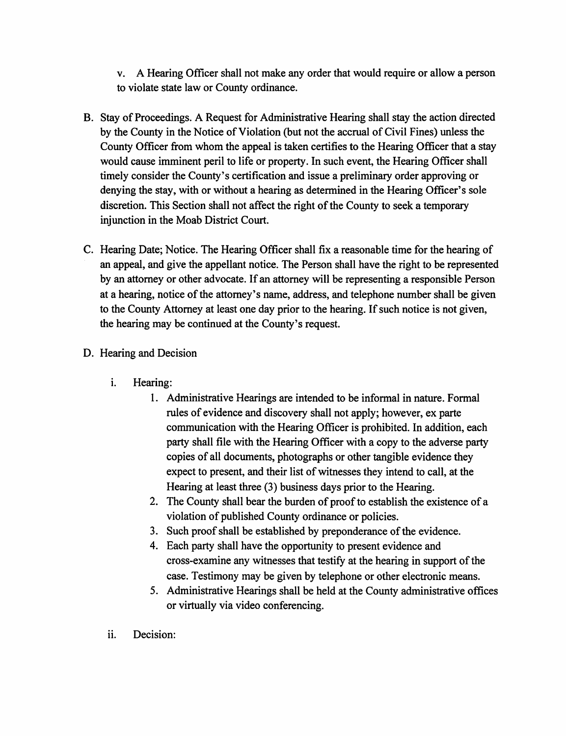A Hearing Officer shall not make any order that would require or allow a person to violate state law or County ordinance. V.

- B. Stay of Proceedings. A Request for Administrative Hearing shall stay the action directed by the County in the Notice of Violation (but not the accrual of Civil Fines) unless the County Officer from whom the appeal is taken certifies to the Hearing Officer that a stay would cause imminent peril to life or property. In such event, the Hearing Officer shall timely consider the County's certification and issue a preliminary order approving or denying the stay, with or without a hearing as determined in the Hearing Officer's sole discretion. This Section shall not affect the right of the County to seek a temporary injunction in the Moab District Court.
- c. Hearing Date؛ Notice. The Hearing Officer shall fix a reasonable time for the hearing of an appeal, and give the appellant notice. The Person shall have the right to be represented by an attorney or other advocate. If an attorney will be representing a responsible Person at a hearing, notice of the attorney's name, address, and telephone number shall be given to the County Attorney at least one day prior to the hearing. If such notice is not given, the hearing may be continued at the County's request.

## D. Hearing and Decision

- i. Hearing:
	- 1. Administrative Hearings are intended to be informal in nature. Formal rules of evidence and discovery shall not apply؛ however, ex parte communication with the Hearing Officer is prohibited. In addition, each party shall file with the Hearing Officer with a copy to the adverse party copies of all documents, photographs or other tangible evidence they expect to present, and their list of witnesses they intend to call, at the Hearing at least three (3) business days prior to the Hearing.
	- 2. The County shall bear the burden of proof to establish the existence of a violation of published County ordinance or policies.
	- 3. Such proof shall be established by preponderance of the evidence.
	- Each party shall have the opportunity to present evidence and 4. cross-examine any witnesses that testify at the hearing in support of the case. Testimony may be given by telephone or other electronic means.
	- Administrative Hearings shall be held at the County administrative offices 5 or virtually via video conferencing.
- ii. Decision: